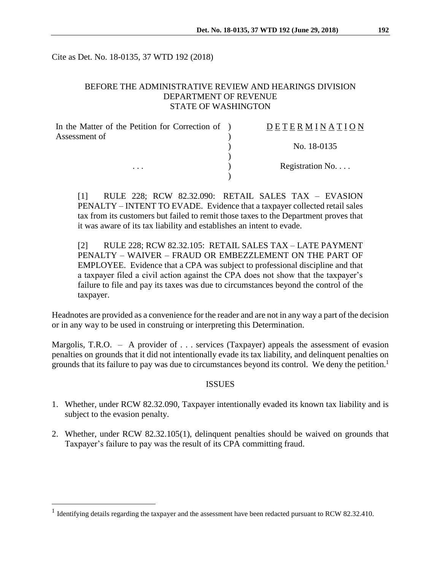Cite as Det. No. 18-0135, 37 WTD 192 (2018)

# BEFORE THE ADMINISTRATIVE REVIEW AND HEARINGS DIVISION DEPARTMENT OF REVENUE STATE OF WASHINGTON

| In the Matter of the Petition for Correction of ) | DETERMINATION   |
|---------------------------------------------------|-----------------|
| Assessment of                                     |                 |
| $\cdots$                                          | No. 18-0135     |
|                                                   |                 |
|                                                   | Registration No |
|                                                   |                 |

[1] RULE 228; RCW 82.32.090: RETAIL SALES TAX – EVASION PENALTY – INTENT TO EVADE. Evidence that a taxpayer collected retail sales tax from its customers but failed to remit those taxes to the Department proves that it was aware of its tax liability and establishes an intent to evade.

[2] RULE 228; RCW 82.32.105: RETAIL SALES TAX – LATE PAYMENT PENALTY – WAIVER – FRAUD OR EMBEZZLEMENT ON THE PART OF EMPLOYEE. Evidence that a CPA was subject to professional discipline and that a taxpayer filed a civil action against the CPA does not show that the taxpayer's failure to file and pay its taxes was due to circumstances beyond the control of the taxpayer.

Headnotes are provided as a convenience for the reader and are not in any way a part of the decision or in any way to be used in construing or interpreting this Determination.

Margolis, T.R.O. – A provider of . . . services (Taxpayer) appeals the assessment of evasion penalties on grounds that it did not intentionally evade its tax liability, and delinquent penalties on grounds that its failure to pay was due to circumstances beyond its control. We deny the petition.<sup>1</sup>

#### **ISSUES**

- 1. Whether, under RCW 82.32.090, Taxpayer intentionally evaded its known tax liability and is subject to the evasion penalty.
- 2. Whether, under RCW 82.32.105(1), delinquent penalties should be waived on grounds that Taxpayer's failure to pay was the result of its CPA committing fraud.

 $\overline{a}$ 

<sup>&</sup>lt;sup>1</sup> Identifying details regarding the taxpayer and the assessment have been redacted pursuant to RCW 82.32.410.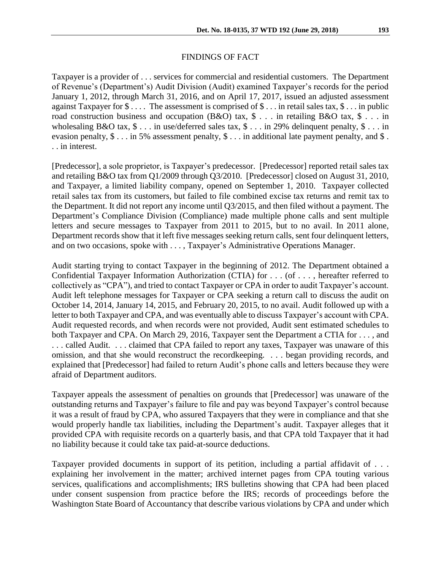### FINDINGS OF FACT

Taxpayer is a provider of . . . services for commercial and residential customers. The Department of Revenue's (Department's) Audit Division (Audit) examined Taxpayer's records for the period January 1, 2012, through March 31, 2016, and on April 17, 2017, issued an adjusted assessment against Taxpayer for  $\$\ldots$  The assessment is comprised of  $\$\ldots$  in retail sales tax,  $\$\ldots$  in public road construction business and occupation (B&O) tax,  $\$ \dots$  in retailing B&O tax,  $\$ \dots$  in wholesaling B&O tax, \$ . . . in use/deferred sales tax, \$ . . . in 29% delinquent penalty, \$ . . . in evasion penalty,  $\$ \dots$  in 5% assessment penalty,  $\$ \dots$  in additional late payment penalty, and  $\$ \dots$ . . in interest.

[Predecessor], a sole proprietor, is Taxpayer's predecessor. [Predecessor] reported retail sales tax and retailing B&O tax from Q1/2009 through Q3/2010. [Predecessor] closed on August 31, 2010, and Taxpayer, a limited liability company, opened on September 1, 2010. Taxpayer collected retail sales tax from its customers, but failed to file combined excise tax returns and remit tax to the Department. It did not report any income until Q3/2015, and then filed without a payment. The Department's Compliance Division (Compliance) made multiple phone calls and sent multiple letters and secure messages to Taxpayer from 2011 to 2015, but to no avail. In 2011 alone, Department records show that it left five messages seeking return calls, sent four delinquent letters, and on two occasions, spoke with . . . , Taxpayer's Administrative Operations Manager.

Audit starting trying to contact Taxpayer in the beginning of 2012. The Department obtained a Confidential Taxpayer Information Authorization (CTIA) for . . . (of . . . , hereafter referred to collectively as "CPA"), and tried to contact Taxpayer or CPA in order to audit Taxpayer's account. Audit left telephone messages for Taxpayer or CPA seeking a return call to discuss the audit on October 14, 2014, January 14, 2015, and February 20, 2015, to no avail. Audit followed up with a letter to both Taxpayer and CPA, and was eventually able to discuss Taxpayer's account with CPA. Audit requested records, and when records were not provided, Audit sent estimated schedules to both Taxpayer and CPA. On March 29, 2016, Taxpayer sent the Department a CTIA for . . . , and . . . called Audit. . . . claimed that CPA failed to report any taxes, Taxpayer was unaware of this omission, and that she would reconstruct the recordkeeping. . . . began providing records, and explained that [Predecessor] had failed to return Audit's phone calls and letters because they were afraid of Department auditors.

Taxpayer appeals the assessment of penalties on grounds that [Predecessor] was unaware of the outstanding returns and Taxpayer's failure to file and pay was beyond Taxpayer's control because it was a result of fraud by CPA, who assured Taxpayers that they were in compliance and that she would properly handle tax liabilities, including the Department's audit. Taxpayer alleges that it provided CPA with requisite records on a quarterly basis, and that CPA told Taxpayer that it had no liability because it could take tax paid-at-source deductions.

Taxpayer provided documents in support of its petition, including a partial affidavit of . . . explaining her involvement in the matter; archived internet pages from CPA touting various services, qualifications and accomplishments; IRS bulletins showing that CPA had been placed under consent suspension from practice before the IRS; records of proceedings before the Washington State Board of Accountancy that describe various violations by CPA and under which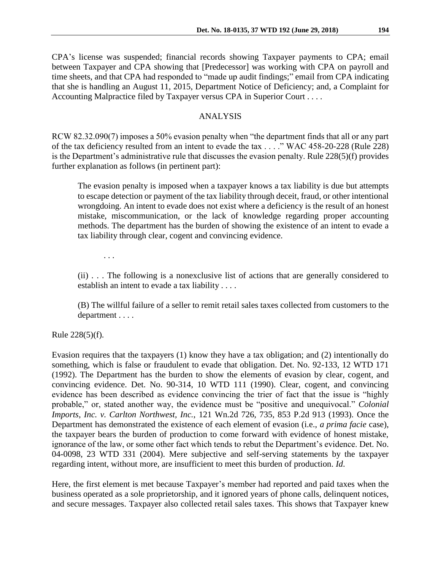CPA's license was suspended; financial records showing Taxpayer payments to CPA; email between Taxpayer and CPA showing that [Predecessor] was working with CPA on payroll and time sheets, and that CPA had responded to "made up audit findings;" email from CPA indicating that she is handling an August 11, 2015, Department Notice of Deficiency; and, a Complaint for Accounting Malpractice filed by Taxpayer versus CPA in Superior Court . . . .

# ANALYSIS

RCW 82.32.090(7) imposes a 50% evasion penalty when "the department finds that all or any part of the tax deficiency resulted from an intent to evade the tax . . . ." WAC 458-20-228 (Rule 228) is the Department's administrative rule that discusses the evasion penalty. Rule 228(5)(f) provides further explanation as follows (in pertinent part):

The evasion penalty is imposed when a taxpayer knows a tax liability is due but attempts to escape detection or payment of the tax liability through deceit, fraud, or other intentional wrongdoing. An intent to evade does not exist where a deficiency is the result of an honest mistake, miscommunication, or the lack of knowledge regarding proper accounting methods. The department has the burden of showing the existence of an intent to evade a tax liability through clear, cogent and convincing evidence.

. . .

(ii) . . . The following is a nonexclusive list of actions that are generally considered to establish an intent to evade a tax liability . . . .

(B) The willful failure of a seller to remit retail sales taxes collected from customers to the department . . . .

Rule 228(5)(f).

Evasion requires that the taxpayers (1) know they have a tax obligation; and (2) intentionally do something, which is false or fraudulent to evade that obligation. Det. No. 92-133, 12 WTD 171 (1992). The Department has the burden to show the elements of evasion by clear, cogent, and convincing evidence. Det. No. 90-314, 10 WTD 111 (1990). Clear, cogent, and convincing evidence has been described as evidence convincing the trier of fact that the issue is "highly probable," or, stated another way, the evidence must be "positive and unequivocal." *Colonial Imports, Inc. v. Carlton Northwest, Inc.*, 121 Wn.2d 726, 735, 853 P.2d 913 (1993). Once the Department has demonstrated the existence of each element of evasion (i.e., *a prima facie* case), the taxpayer bears the burden of production to come forward with evidence of honest mistake, ignorance of the law, or some other fact which tends to rebut the Department's evidence. Det. No. 04-0098, 23 WTD 331 (2004). Mere subjective and self-serving statements by the taxpayer regarding intent, without more, are insufficient to meet this burden of production. *Id*.

Here, the first element is met because Taxpayer's member had reported and paid taxes when the business operated as a sole proprietorship, and it ignored years of phone calls, delinquent notices, and secure messages. Taxpayer also collected retail sales taxes. This shows that Taxpayer knew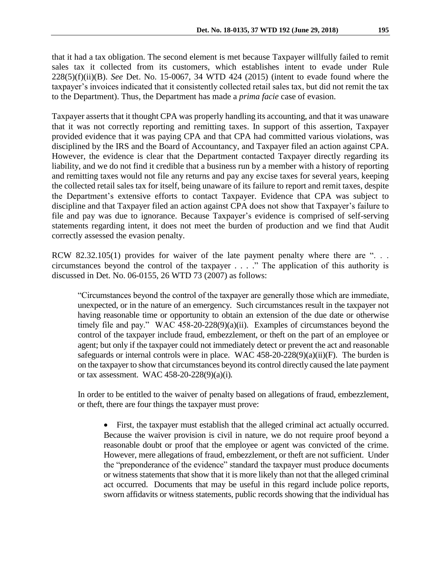that it had a tax obligation. The second element is met because Taxpayer willfully failed to remit sales tax it collected from its customers, which establishes intent to evade under Rule 228(5)(f)(ii)(B). *See* Det. No. 15-0067, 34 WTD 424 (2015) (intent to evade found where the taxpayer's invoices indicated that it consistently collected retail sales tax, but did not remit the tax to the Department). Thus, the Department has made a *prima facie* case of evasion.

Taxpayer asserts that it thought CPA was properly handling its accounting, and that it was unaware that it was not correctly reporting and remitting taxes. In support of this assertion, Taxpayer provided evidence that it was paying CPA and that CPA had committed various violations, was disciplined by the IRS and the Board of Accountancy, and Taxpayer filed an action against CPA. However, the evidence is clear that the Department contacted Taxpayer directly regarding its liability, and we do not find it credible that a business run by a member with a history of reporting and remitting taxes would not file any returns and pay any excise taxes for several years, keeping the collected retail sales tax for itself, being unaware of its failure to report and remit taxes, despite the Department's extensive efforts to contact Taxpayer. Evidence that CPA was subject to discipline and that Taxpayer filed an action against CPA does not show that Taxpayer's failure to file and pay was due to ignorance. Because Taxpayer's evidence is comprised of self-serving statements regarding intent, it does not meet the burden of production and we find that Audit correctly assessed the evasion penalty.

RCW 82.32.105(1) provides for waiver of the late payment penalty where there are "... circumstances beyond the control of the taxpayer . . . ." The application of this authority is discussed in Det. No. 06-0155, 26 WTD 73 (2007) as follows:

"Circumstances beyond the control of the taxpayer are generally those which are immediate, unexpected, or in the nature of an emergency. Such circumstances result in the taxpayer not having reasonable time or opportunity to obtain an extension of the due date or otherwise timely file and pay." WAC 458-20-228(9)(a)(ii). Examples of circumstances beyond the control of the taxpayer include fraud, embezzlement, or theft on the part of an employee or agent; but only if the taxpayer could not immediately detect or prevent the act and reasonable safeguards or internal controls were in place. WAC  $458-20-228(9)(a)(ii)(F)$ . The burden is on the taxpayer to show that circumstances beyond its control directly caused the late payment or tax assessment. WAC 458-20-228(9)(a)(i)*.*

In order to be entitled to the waiver of penalty based on allegations of fraud, embezzlement, or theft, there are four things the taxpayer must prove:

 First, the taxpayer must establish that the alleged criminal act actually occurred. Because the waiver provision is civil in nature, we do not require proof beyond a reasonable doubt or proof that the employee or agent was convicted of the crime. However, mere allegations of fraud, embezzlement, or theft are not sufficient. Under the "preponderance of the evidence" standard the taxpayer must produce documents or witness statements that show that it is more likely than not that the alleged criminal act occurred. Documents that may be useful in this regard include police reports, sworn affidavits or witness statements, public records showing that the individual has